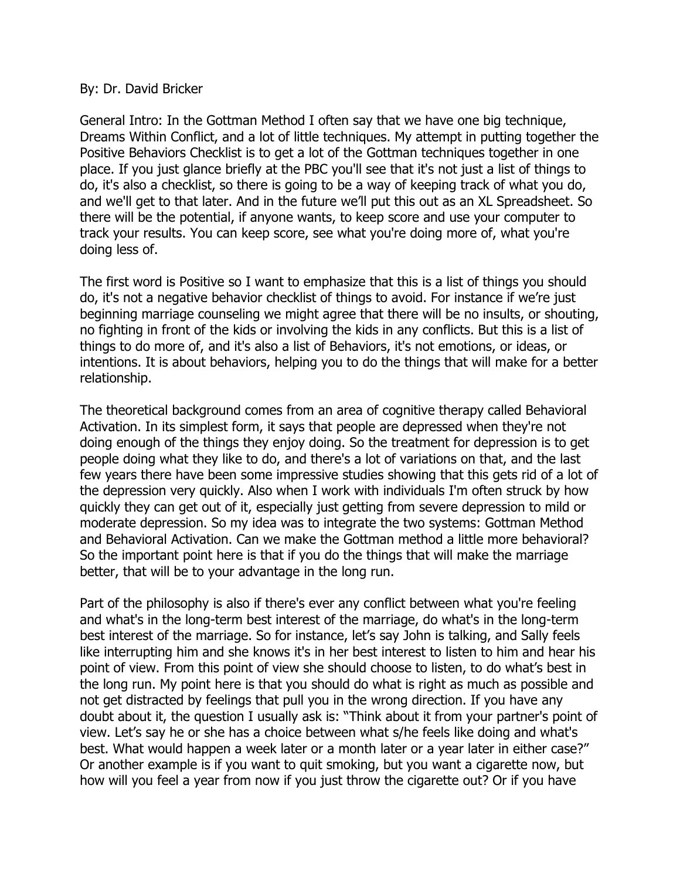## By: Dr. David Bricker

General Intro: In the Gottman Method I often say that we have one big technique, Dreams Within Conflict, and a lot of little techniques. My attempt in putting together the Positive Behaviors Checklist is to get a lot of the Gottman techniques together in one place. If you just glance briefly at the PBC you'll see that it's not just a list of things to do, it's also a checklist, so there is going to be a way of keeping track of what you do, and we'll get to that later. And in the future we'll put this out as an XL Spreadsheet. So there will be the potential, if anyone wants, to keep score and use your computer to track your results. You can keep score, see what you're doing more of, what you're doing less of.

The first word is Positive so I want to emphasize that this is a list of things you should do, it's not a negative behavior checklist of things to avoid. For instance if we're just beginning marriage counseling we might agree that there will be no insults, or shouting, no fighting in front of the kids or involving the kids in any conflicts. But this is a list of things to do more of, and it's also a list of Behaviors, it's not emotions, or ideas, or intentions. It is about behaviors, helping you to do the things that will make for a better relationship.

The theoretical background comes from an area of cognitive therapy called Behavioral Activation. In its simplest form, it says that people are depressed when they're not doing enough of the things they enjoy doing. So the treatment for depression is to get people doing what they like to do, and there's a lot of variations on that, and the last few years there have been some impressive studies showing that this gets rid of a lot of the depression very quickly. Also when I work with individuals I'm often struck by how quickly they can get out of it, especially just getting from severe depression to mild or moderate depression. So my idea was to integrate the two systems: Gottman Method and Behavioral Activation. Can we make the Gottman method a little more behavioral? So the important point here is that if you do the things that will make the marriage better, that will be to your advantage in the long run.

Part of the philosophy is also if there's ever any conflict between what you're feeling and what's in the long-term best interest of the marriage, do what's in the long-term best interest of the marriage. So for instance, let's say John is talking, and Sally feels like interrupting him and she knows it's in her best interest to listen to him and hear his point of view. From this point of view she should choose to listen, to do what's best in the long run. My point here is that you should do what is right as much as possible and not get distracted by feelings that pull you in the wrong direction. If you have any doubt about it, the question I usually ask is: "Think about it from your partner's point of view. Let's say he or she has a choice between what s/he feels like doing and what's best. What would happen a week later or a month later or a year later in either case?" Or another example is if you want to quit smoking, but you want a cigarette now, but how will you feel a year from now if you just throw the cigarette out? Or if you have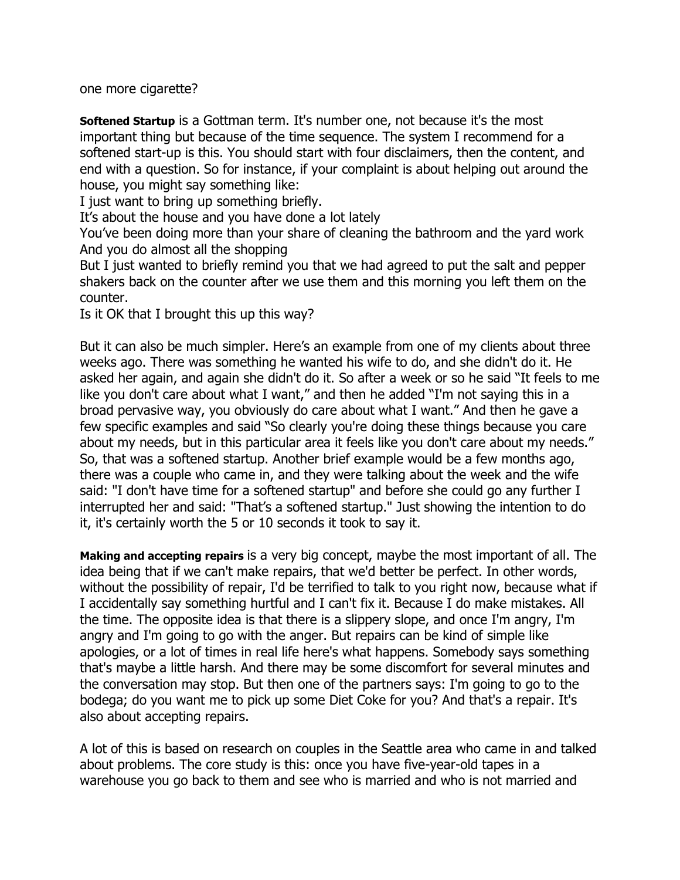one more cigarette?

**Softened Startup** is a Gottman term. It's number one, not because it's the most important thing but because of the time sequence. The system I recommend for a softened start-up is this. You should start with four disclaimers, then the content, and end with a question. So for instance, if your complaint is about helping out around the house, you might say something like:

I just want to bring up something briefly.

It's about the house and you have done a lot lately

You've been doing more than your share of cleaning the bathroom and the yard work And you do almost all the shopping

But I just wanted to briefly remind you that we had agreed to put the salt and pepper shakers back on the counter after we use them and this morning you left them on the counter.

Is it OK that I brought this up this way?

But it can also be much simpler. Here's an example from one of my clients about three weeks ago. There was something he wanted his wife to do, and she didn't do it. He asked her again, and again she didn't do it. So after a week or so he said "It feels to me like you don't care about what I want," and then he added "I'm not saying this in a broad pervasive way, you obviously do care about what I want." And then he gave a few specific examples and said "So clearly you're doing these things because you care about my needs, but in this particular area it feels like you don't care about my needs." So, that was a softened startup. Another brief example would be a few months ago, there was a couple who came in, and they were talking about the week and the wife said: "I don't have time for a softened startup" and before she could go any further I interrupted her and said: "That's a softened startup." Just showing the intention to do it, it's certainly worth the 5 or 10 seconds it took to say it.

**Making and accepting repairs** is a very big concept, maybe the most important of all. The idea being that if we can't make repairs, that we'd better be perfect. In other words, without the possibility of repair, I'd be terrified to talk to you right now, because what if I accidentally say something hurtful and I can't fix it. Because I do make mistakes. All the time. The opposite idea is that there is a slippery slope, and once I'm angry, I'm angry and I'm going to go with the anger. But repairs can be kind of simple like apologies, or a lot of times in real life here's what happens. Somebody says something that's maybe a little harsh. And there may be some discomfort for several minutes and the conversation may stop. But then one of the partners says: I'm going to go to the bodega; do you want me to pick up some Diet Coke for you? And that's a repair. It's also about accepting repairs.

A lot of this is based on research on couples in the Seattle area who came in and talked about problems. The core study is this: once you have five-year-old tapes in a warehouse you go back to them and see who is married and who is not married and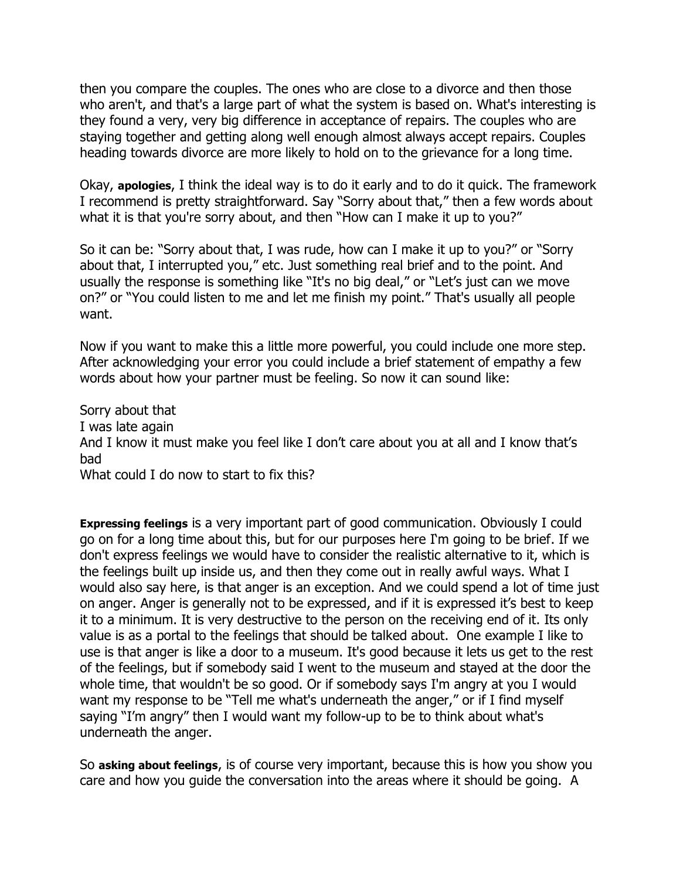then you compare the couples. The ones who are close to a divorce and then those who aren't, and that's a large part of what the system is based on. What's interesting is they found a very, very big difference in acceptance of repairs. The couples who are staying together and getting along well enough almost always accept repairs. Couples heading towards divorce are more likely to hold on to the grievance for a long time.

Okay, **apologies**, I think the ideal way is to do it early and to do it quick. The framework I recommend is pretty straightforward. Say "Sorry about that," then a few words about what it is that you're sorry about, and then "How can I make it up to you?"

So it can be: "Sorry about that, I was rude, how can I make it up to you?" or "Sorry about that, I interrupted you," etc. Just something real brief and to the point. And usually the response is something like "It's no big deal," or "Let's just can we move on?" or "You could listen to me and let me finish my point." That's usually all people want.

Now if you want to make this a little more powerful, you could include one more step. After acknowledging your error you could include a brief statement of empathy a few words about how your partner must be feeling. So now it can sound like:

Sorry about that I was late again And I know it must make you feel like I don't care about you at all and I know that's bad What could I do now to start to fix this?

**Expressing feelings** is a very important part of good communication. Obviously I could go on for a long time about this, but for our purposes here I'm going to be brief. If we don't express feelings we would have to consider the realistic alternative to it, which is the feelings built up inside us, and then they come out in really awful ways. What I would also say here, is that anger is an exception. And we could spend a lot of time just on anger. Anger is generally not to be expressed, and if it is expressed it's best to keep it to a minimum. It is very destructive to the person on the receiving end of it. Its only value is as a portal to the feelings that should be talked about. One example I like to use is that anger is like a door to a museum. It's good because it lets us get to the rest of the feelings, but if somebody said I went to the museum and stayed at the door the whole time, that wouldn't be so good. Or if somebody says I'm angry at you I would want my response to be "Tell me what's underneath the anger," or if I find myself saying "I'm angry" then I would want my follow-up to be to think about what's underneath the anger.

So **asking about feelings**, is of course very important, because this is how you show you care and how you guide the conversation into the areas where it should be going. A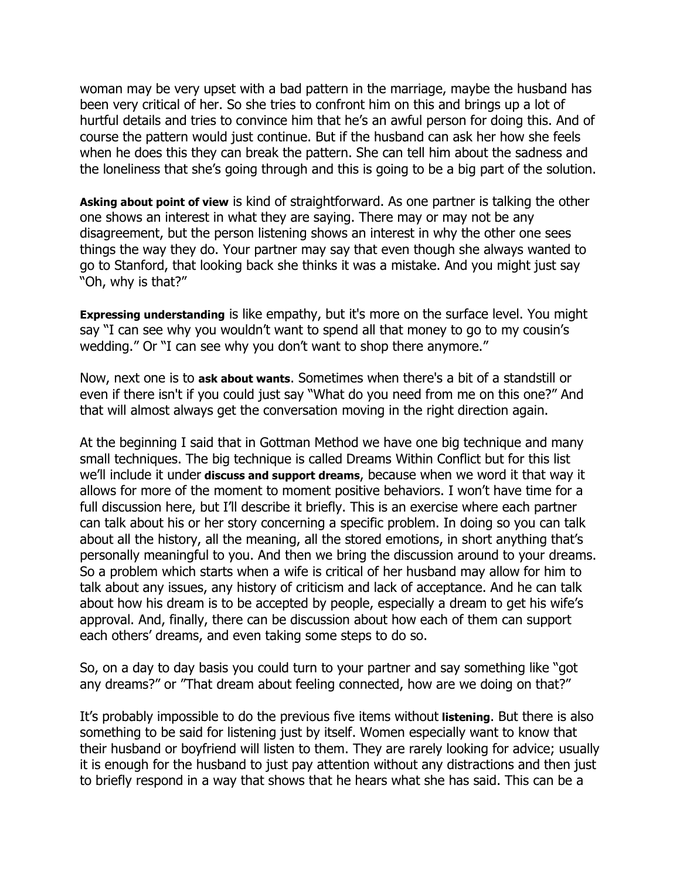woman may be very upset with a bad pattern in the marriage, maybe the husband has been very critical of her. So she tries to confront him on this and brings up a lot of hurtful details and tries to convince him that he's an awful person for doing this. And of course the pattern would just continue. But if the husband can ask her how she feels when he does this they can break the pattern. She can tell him about the sadness and the loneliness that she's going through and this is going to be a big part of the solution.

**Asking about point of view** is kind of straightforward. As one partner is talking the other one shows an interest in what they are saying. There may or may not be any disagreement, but the person listening shows an interest in why the other one sees things the way they do. Your partner may say that even though she always wanted to go to Stanford, that looking back she thinks it was a mistake. And you might just say "Oh, why is that?"

**Expressing understanding** is like empathy, but it's more on the surface level. You might say "I can see why you wouldn't want to spend all that money to go to my cousin's wedding." Or "I can see why you don't want to shop there anymore."

Now, next one is to **ask about wants**. Sometimes when there's a bit of a standstill or even if there isn't if you could just say "What do you need from me on this one?" And that will almost always get the conversation moving in the right direction again.

At the beginning I said that in Gottman Method we have one big technique and many small techniques. The big technique is called Dreams Within Conflict but for this list we'll include it under **discuss and support dreams**, because when we word it that way it allows for more of the moment to moment positive behaviors. I won't have time for a full discussion here, but I'll describe it briefly. This is an exercise where each partner can talk about his or her story concerning a specific problem. In doing so you can talk about all the history, all the meaning, all the stored emotions, in short anything that's personally meaningful to you. And then we bring the discussion around to your dreams. So a problem which starts when a wife is critical of her husband may allow for him to talk about any issues, any history of criticism and lack of acceptance. And he can talk about how his dream is to be accepted by people, especially a dream to get his wife's approval. And, finally, there can be discussion about how each of them can support each others' dreams, and even taking some steps to do so.

So, on a day to day basis you could turn to your partner and say something like "got any dreams?" or "That dream about feeling connected, how are we doing on that?"

It's probably impossible to do the previous five items without **listening**. But there is also something to be said for listening just by itself. Women especially want to know that their husband or boyfriend will listen to them. They are rarely looking for advice; usually it is enough for the husband to just pay attention without any distractions and then just to briefly respond in a way that shows that he hears what she has said. This can be a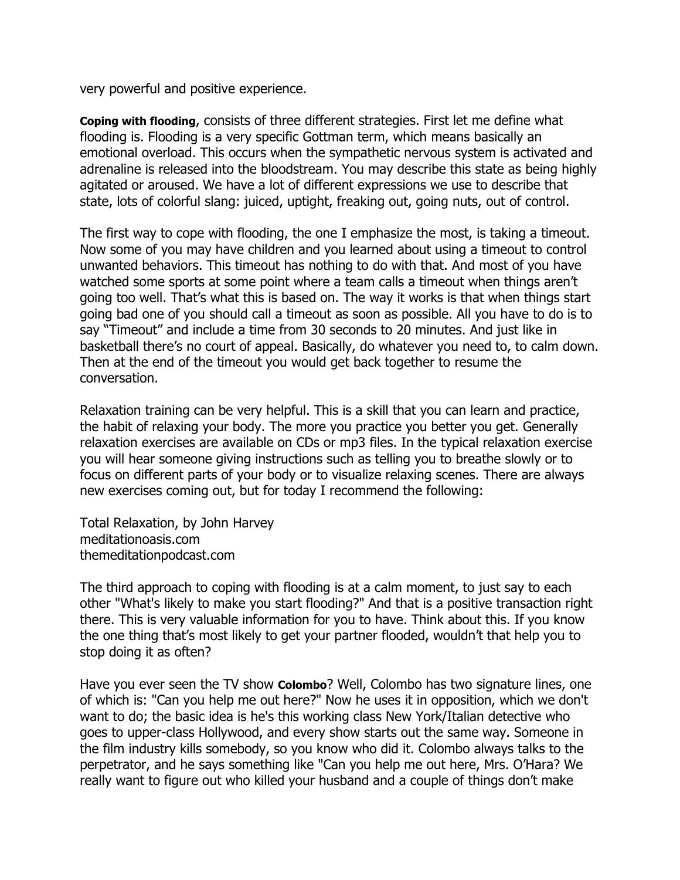very powerful and positive experience.

**Coping with flooding**, consists of three different strategies. First let me define what flooding is. Flooding is a very specific Gottman term, which means basically an emotional overload. This occurs when the sympathetic nervous system is activated and adrenaline is released into the bloodstream. You may describe this state as being highly agitated or aroused. We have a lot of different expressions we use to describe that state, lots of colorful slang: juiced, uptight, freaking out, going nuts, out of control.

The first way to cope with flooding, the one I emphasize the most, is taking a timeout. Now some of you may have children and you learned about using a timeout to control unwanted behaviors. This timeout has nothing to do with that. And most of you have watched some sports at some point where a team calls a timeout when things aren't going too well. That's what this is based on. The way it works is that when things start going bad one of you should call a timeout as soon as possible. All you have to do is to say "Timeout" and include a time from 30 seconds to 20 minutes. And just like in basketball there's no court of appeal. Basically, do whatever you need to, to calm down. Then at the end of the timeout you would get back together to resume the conversation.

Relaxation training can be very helpful. This is a skill that you can learn and practice, the habit of relaxing your body. The more you practice you better you get. Generally relaxation exercises are available on CDs or mp3 files. In the typical relaxation exercise you will hear someone giving instructions such as telling you to breathe slowly or to focus on different parts of your body or to visualize relaxing scenes. There are always new exercises coming out, but for today I recommend the following:

Total Relaxation, by John Harvey meditationoasis.com themeditationpodcast.com

The third approach to coping with flooding is at a calm moment, to just say to each other "What's likely to make you start flooding?" And that is a positive transaction right there. This is very valuable information for you to have. Think about this. If you know the one thing that's most likely to get your partner flooded, wouldn't that help you to stop doing it as often?

Have you ever seen the TV show **Colombo**? Well, Colombo has two signature lines, one of which is: "Can you help me out here?" Now he uses it in opposition, which we don't want to do; the basic idea is he's this working class New York/Italian detective who goes to upper-class Hollywood, and every show starts out the same way. Someone in the film industry kills somebody, so you know who did it. Colombo always talks to the perpetrator, and he says something like "Can you help me out here, Mrs. O'Hara? We really want to figure out who killed your husband and a couple of things don't make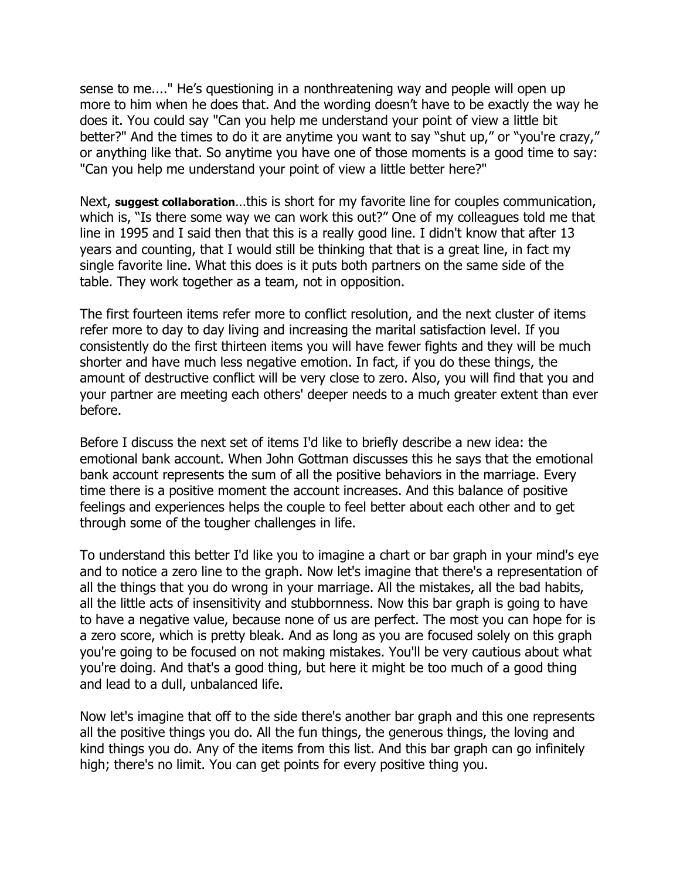sense to me...." He's questioning in a nonthreatening way and people will open up more to him when he does that. And the wording doesn't have to be exactly the way he does it. You could say "Can you help me understand your point of view a little bit better?" And the times to do it are anytime you want to say "shut up," or "you're crazy," or anything like that. So anytime you have one of those moments is a good time to say: "Can you help me understand your point of view a little better here?"

Next, **suggest collaboration**…this is short for my favorite line for couples communication, which is, "Is there some way we can work this out?" One of my colleagues told me that line in 1995 and I said then that this is a really good line. I didn't know that after 13 years and counting, that I would still be thinking that that is a great line, in fact my single favorite line. What this does is it puts both partners on the same side of the table. They work together as a team, not in opposition.

The first fourteen items refer more to conflict resolution, and the next cluster of items refer more to day to day living and increasing the marital satisfaction level. If you consistently do the first thirteen items you will have fewer fights and they will be much shorter and have much less negative emotion. In fact, if you do these things, the amount of destructive conflict will be very close to zero. Also, you will find that you and your partner are meeting each others' deeper needs to a much greater extent than ever before.

Before I discuss the next set of items I'd like to briefly describe a new idea: the emotional bank account. When John Gottman discusses this he says that the emotional bank account represents the sum of all the positive behaviors in the marriage. Every time there is a positive moment the account increases. And this balance of positive feelings and experiences helps the couple to feel better about each other and to get through some of the tougher challenges in life.

To understand this better I'd like you to imagine a chart or bar graph in your mind's eye and to notice a zero line to the graph. Now let's imagine that there's a representation of all the things that you do wrong in your marriage. All the mistakes, all the bad habits, all the little acts of insensitivity and stubbornness. Now this bar graph is going to have to have a negative value, because none of us are perfect. The most you can hope for is a zero score, which is pretty bleak. And as long as you are focused solely on this graph you're going to be focused on not making mistakes. You'll be very cautious about what you're doing. And that's a good thing, but here it might be too much of a good thing and lead to a dull, unbalanced life.

Now let's imagine that off to the side there's another bar graph and this one represents all the positive things you do. All the fun things, the generous things, the loving and kind things you do. Any of the items from this list. And this bar graph can go infinitely high; there's no limit. You can get points for every positive thing you.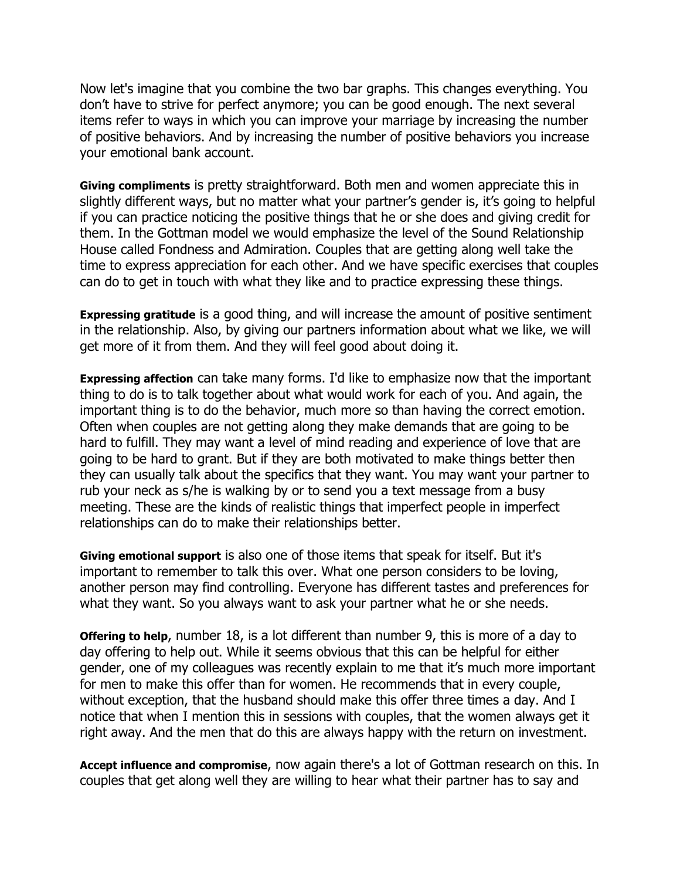Now let's imagine that you combine the two bar graphs. This changes everything. You don't have to strive for perfect anymore; you can be good enough. The next several items refer to ways in which you can improve your marriage by increasing the number of positive behaviors. And by increasing the number of positive behaviors you increase your emotional bank account.

**Giving compliments** is pretty straightforward. Both men and women appreciate this in slightly different ways, but no matter what your partner's gender is, it's going to helpful if you can practice noticing the positive things that he or she does and giving credit for them. In the Gottman model we would emphasize the level of the Sound Relationship House called Fondness and Admiration. Couples that are getting along well take the time to express appreciation for each other. And we have specific exercises that couples can do to get in touch with what they like and to practice expressing these things.

**Expressing gratitude** is a good thing, and will increase the amount of positive sentiment in the relationship. Also, by giving our partners information about what we like, we will get more of it from them. And they will feel good about doing it.

**Expressing affection** can take many forms. I'd like to emphasize now that the important thing to do is to talk together about what would work for each of you. And again, the important thing is to do the behavior, much more so than having the correct emotion. Often when couples are not getting along they make demands that are going to be hard to fulfill. They may want a level of mind reading and experience of love that are going to be hard to grant. But if they are both motivated to make things better then they can usually talk about the specifics that they want. You may want your partner to rub your neck as s/he is walking by or to send you a text message from a busy meeting. These are the kinds of realistic things that imperfect people in imperfect relationships can do to make their relationships better.

**Giving emotional support** is also one of those items that speak for itself. But it's important to remember to talk this over. What one person considers to be loving, another person may find controlling. Everyone has different tastes and preferences for what they want. So you always want to ask your partner what he or she needs.

**Offering to help**, number 18, is a lot different than number 9, this is more of a day to day offering to help out. While it seems obvious that this can be helpful for either gender, one of my colleagues was recently explain to me that it's much more important for men to make this offer than for women. He recommends that in every couple, without exception, that the husband should make this offer three times a day. And I notice that when I mention this in sessions with couples, that the women always get it right away. And the men that do this are always happy with the return on investment.

**Accept influence and compromise**, now again there's a lot of Gottman research on this. In couples that get along well they are willing to hear what their partner has to say and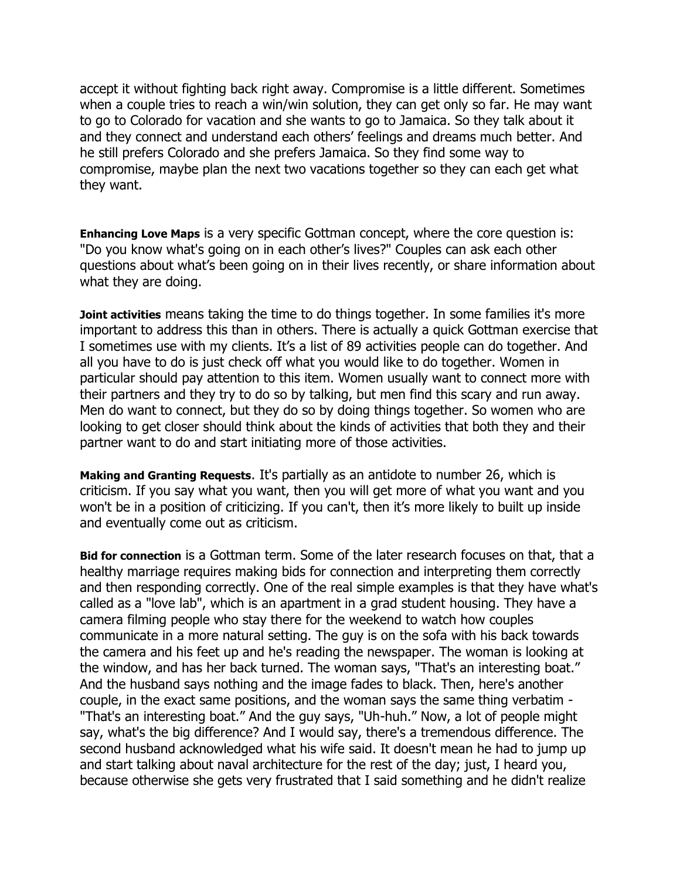accept it without fighting back right away. Compromise is a little different. Sometimes when a couple tries to reach a win/win solution, they can get only so far. He may want to go to Colorado for vacation and she wants to go to Jamaica. So they talk about it and they connect and understand each others' feelings and dreams much better. And he still prefers Colorado and she prefers Jamaica. So they find some way to compromise, maybe plan the next two vacations together so they can each get what they want.

**Enhancing Love Maps** is a very specific Gottman concept, where the core question is: "Do you know what's going on in each other's lives?" Couples can ask each other questions about what's been going on in their lives recently, or share information about what they are doing.

**Joint activities** means taking the time to do things together. In some families it's more important to address this than in others. There is actually a quick Gottman exercise that I sometimes use with my clients. It's a list of 89 activities people can do together. And all you have to do is just check off what you would like to do together. Women in particular should pay attention to this item. Women usually want to connect more with their partners and they try to do so by talking, but men find this scary and run away. Men do want to connect, but they do so by doing things together. So women who are looking to get closer should think about the kinds of activities that both they and their partner want to do and start initiating more of those activities.

**Making and Granting Requests**. It's partially as an antidote to number 26, which is criticism. If you say what you want, then you will get more of what you want and you won't be in a position of criticizing. If you can't, then it's more likely to built up inside and eventually come out as criticism.

**Bid for connection** is a Gottman term. Some of the later research focuses on that, that a healthy marriage requires making bids for connection and interpreting them correctly and then responding correctly. One of the real simple examples is that they have what's called as a "love lab", which is an apartment in a grad student housing. They have a camera filming people who stay there for the weekend to watch how couples communicate in a more natural setting. The guy is on the sofa with his back towards the camera and his feet up and he's reading the newspaper. The woman is looking at the window, and has her back turned. The woman says, "That's an interesting boat." And the husband says nothing and the image fades to black. Then, here's another couple, in the exact same positions, and the woman says the same thing verbatim - "That's an interesting boat." And the guy says, "Uh-huh." Now, a lot of people might say, what's the big difference? And I would say, there's a tremendous difference. The second husband acknowledged what his wife said. It doesn't mean he had to jump up and start talking about naval architecture for the rest of the day; just, I heard you, because otherwise she gets very frustrated that I said something and he didn't realize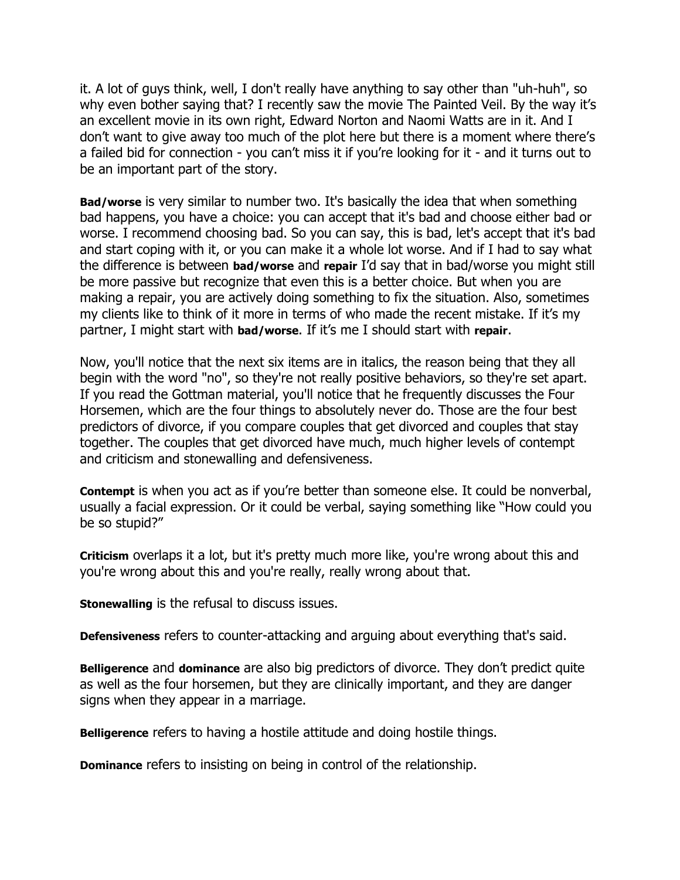it. A lot of guys think, well, I don't really have anything to say other than "uh-huh", so why even bother saying that? I recently saw the movie The Painted Veil. By the way it's an excellent movie in its own right, Edward Norton and Naomi Watts are in it. And I don't want to give away too much of the plot here but there is a moment where there's a failed bid for connection - you can't miss it if you're looking for it - and it turns out to be an important part of the story.

**Bad/worse** is very similar to number two. It's basically the idea that when something bad happens, you have a choice: you can accept that it's bad and choose either bad or worse. I recommend choosing bad. So you can say, this is bad, let's accept that it's bad and start coping with it, or you can make it a whole lot worse. And if I had to say what the difference is between **bad/worse** and **repair** I'd say that in bad/worse you might still be more passive but recognize that even this is a better choice. But when you are making a repair, you are actively doing something to fix the situation. Also, sometimes my clients like to think of it more in terms of who made the recent mistake. If it's my partner, I might start with **bad/worse**. If it's me I should start with **repair**.

Now, you'll notice that the next six items are in italics, the reason being that they all begin with the word "no", so they're not really positive behaviors, so they're set apart. If you read the Gottman material, you'll notice that he frequently discusses the Four Horsemen, which are the four things to absolutely never do. Those are the four best predictors of divorce, if you compare couples that get divorced and couples that stay together. The couples that get divorced have much, much higher levels of contempt and criticism and stonewalling and defensiveness.

**Contempt** is when you act as if you're better than someone else. It could be nonverbal, usually a facial expression. Or it could be verbal, saying something like "How could you be so stupid?"

**Criticism** overlaps it a lot, but it's pretty much more like, you're wrong about this and you're wrong about this and you're really, really wrong about that.

**Stonewalling** is the refusal to discuss issues.

**Defensiveness** refers to counter-attacking and arguing about everything that's said.

**Belligerence** and **dominance** are also big predictors of divorce. They don't predict quite as well as the four horsemen, but they are clinically important, and they are danger signs when they appear in a marriage.

**Belligerence** refers to having a hostile attitude and doing hostile things.

**Dominance** refers to insisting on being in control of the relationship.